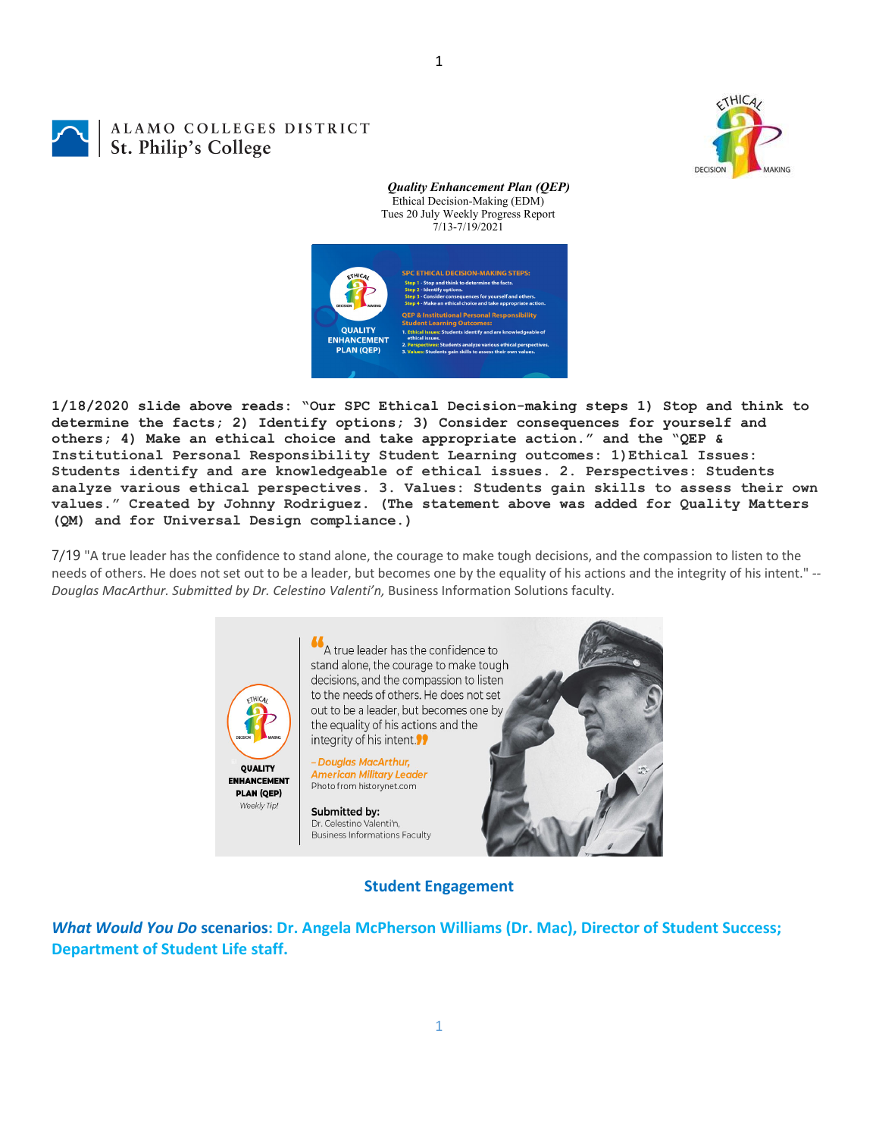ALAMO COLLEGES DISTRICT St. Philip's College



*Quality Enhancement Plan (QEP)* Ethical Decision-Making (EDM) Tues 20 July Weekly Progress Report 7/13-7/19/2021



1

**1/18/2020 slide above reads: "Our SPC Ethical Decision-making steps 1) Stop and think to determine the facts; 2) Identify options; 3) Consider consequences for yourself and others; 4) Make an ethical choice and take appropriate action." and the "QEP & Institutional Personal Responsibility Student Learning outcomes: 1)Ethical Issues: Students identify and are knowledgeable of ethical issues. 2. Perspectives: Students analyze various ethical perspectives. 3. Values: Students gain skills to assess their own values." Created by Johnny Rodriguez. (The statement above was added for Quality Matters (QM) and for Universal Design compliance.)**

7/19 "A true leader has the confidence to stand alone, the courage to make tough decisions, and the compassion to listen to the needs of others. He does not set out to be a leader, but becomes one by the equality of his actions and the integrity of his intent." *‐‐ Douglas MacArthur. Submitted by Dr. Celestino Valenti'n,* Business Information Solutions faculty.



**Student Engagement**

*What Would You Do* **scenarios: Dr. Angela McPherson Williams (Dr. Mac), Director of Student Success; Department of Student Life staff.**